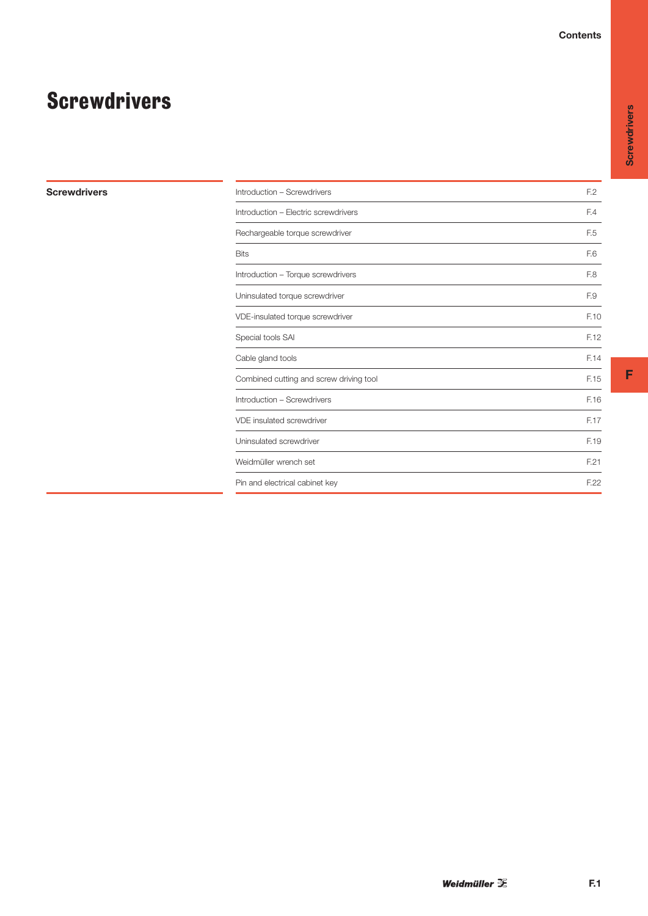# **Screwdrivers**

### **Screwdrivers**

| Introduction - Screwdrivers             | F.2  |
|-----------------------------------------|------|
| Introduction - Electric screwdrivers    | E.4  |
| Rechargeable torque screwdriver         | F.5  |
| <b>Bits</b>                             | F.6  |
| Introduction - Torque screwdrivers      | F.8  |
| Uninsulated torque screwdriver          | F.9  |
| VDE-insulated torque screwdriver        | F.1C |
| Special tools SAI                       | F.12 |
| Cable gland tools                       | F.14 |
| Combined cutting and screw driving tool | F.15 |
| Introduction - Screwdrivers             | F.16 |
| VDE insulated screwdriver               | F.17 |
| Uninsulated screwdriver                 | F.19 |
| Weidmüller wrench set                   | F.21 |
| Pin and electrical cabinet key          | F.22 |
|                                         |      |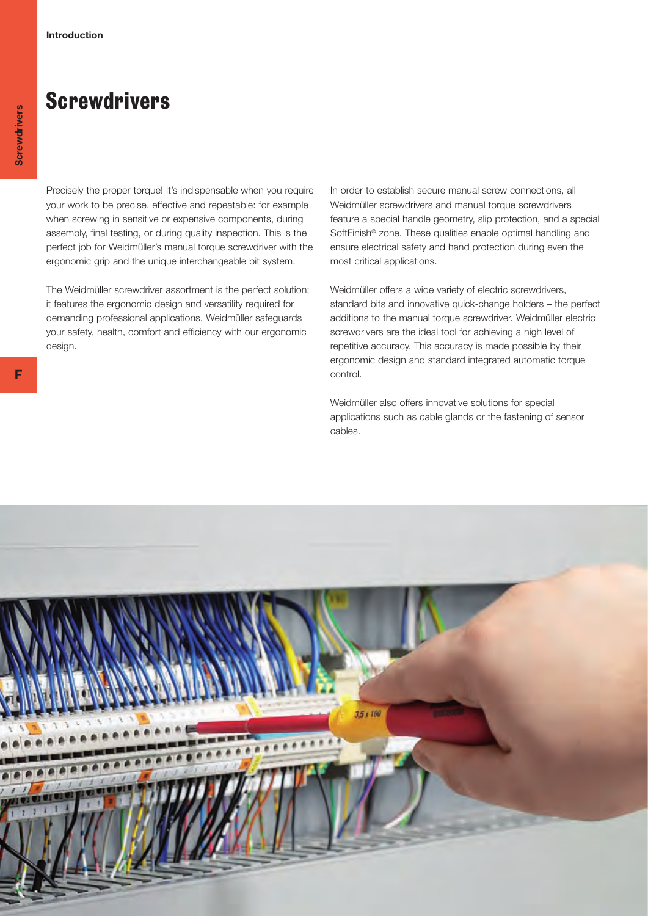# **Screwdrivers**

Precisely the proper torque! It's indispensable when you require your work to be precise, effective and repeatable: for example when screwing in sensitive or expensive components, during assembly, final testing, or during quality inspection. This is the perfect job for Weidmüller's manual torque screwdriver with the ergonomic grip and the unique interchangeable bit system.

The Weidmüller screwdriver assortment is the perfect solution; it features the ergonomic design and versatility required for demanding professional applications. Weidmüller safeguards your safety, health, comfort and efficiency with our ergonomic design.

In order to establish secure manual screw connections, all Weidmüller screwdrivers and manual torque screwdrivers feature a special handle geometry, slip protection, and a special SoftFinish® zone. These qualities enable optimal handling and ensure electrical safety and hand protection during even the most critical applications.

Weidmüller offers a wide variety of electric screwdrivers, standard bits and innovative quick-change holders – the perfect additions to the manual torque screwdriver. Weidmüller electric screwdrivers are the ideal tool for achieving a high level of repetitive accuracy. This accuracy is made possible by their ergonomic design and standard integrated automatic torque control.

Weidmüller also offers innovative solutions for special applications such as cable glands or the fastening of sensor cables.

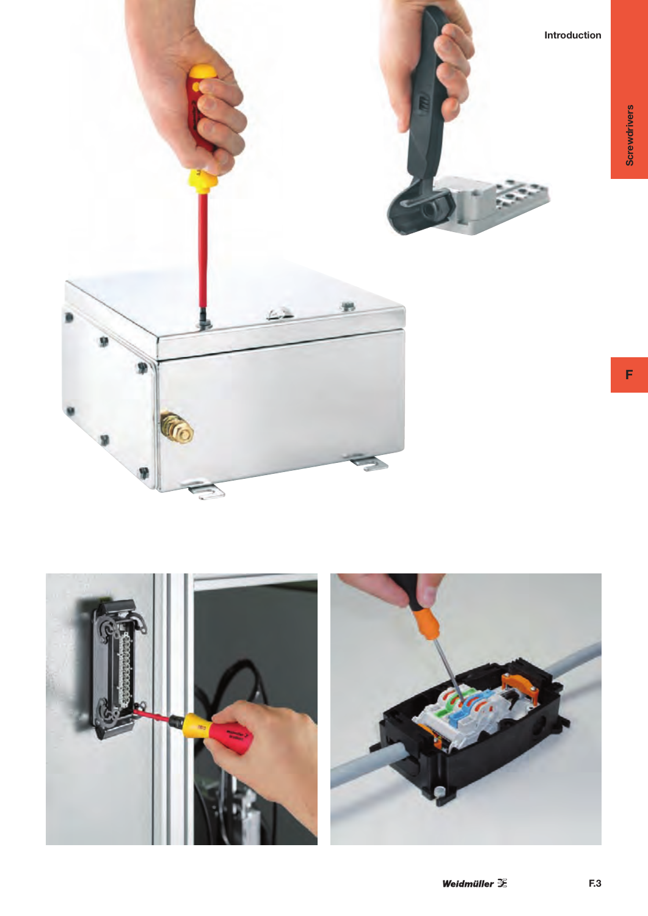



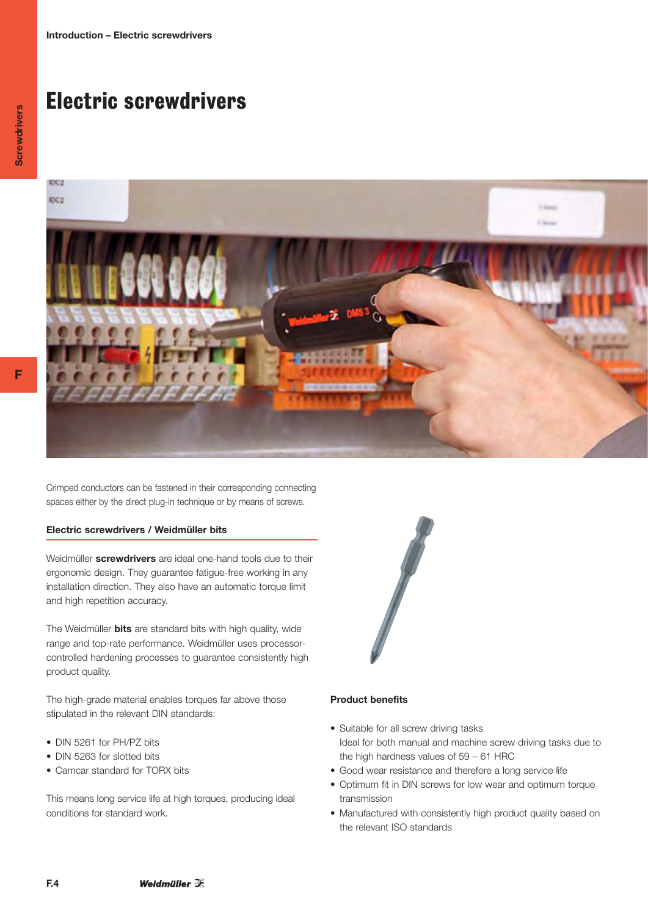# Electric screwdrivers



Crimped conductors can be fastened in their corresponding connecting spaces either by the direct plug-in technique or by means of screws.

### **Electric screwdrivers / Weidmüller bits**

Weidmüller **screwdrivers** are ideal one-hand tools due to their ergonomic design. They guarantee fatigue-free working in any installation direction. They also have an automatic torque limit and high repetition accuracy.

The Weidmüller **bits** are standard bits with high quality, wide range and top-rate performance. Weidmüller uses processorcontrolled hardening processes to guarantee consistently high product quality.

The high-grade material enables torques far above those stipulated in the relevant DIN standards:

- DIN 5261 for PH/PZ bits
- DIN 5263 for slotted bits
- Camcar standard for TORX bits

This means long service life at high torques, producing ideal conditions for standard work.



### **Product benefits**

- Suitable for all screw driving tasks Ideal for both manual and machine screw driving tasks due to the high hardness values of 59 – 61 HRC
- Good wear resistance and therefore a long service life
- Optimum fit in DIN screws for low wear and optimum torque transmission
- Manufactured with consistently high product quality based on the relevant ISO standards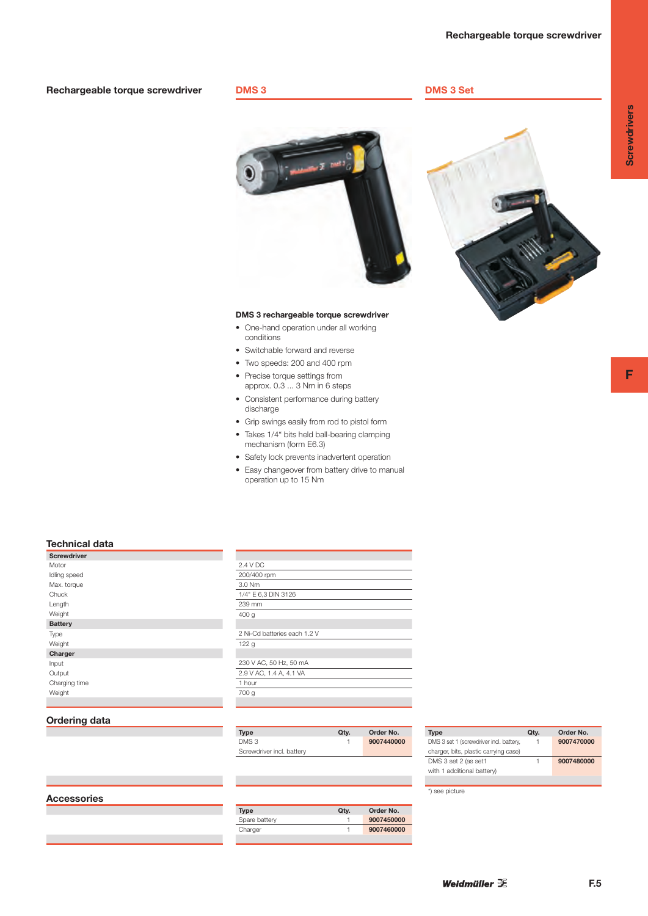### **Rechargeable torque screwdriver DMS 3**

**DMS 3 Set**



### **DMS 3 rechargeable torque screwdriver**

- One-hand operation under all working conditions
- Switchable forward and reverse
- Two speeds: 200 and 400 rpm
- Precise torque settings from approx. 0.3 ... 3 Nm in 6 steps
- Consistent performance during battery discharge
- Grip swings easily from rod to pistol form
- Takes 1/4" bits held ball-bearing clamping mechanism (form E6.3)
- Safety lock prevents inadvertent operation
- Easy changeover from battery drive to manual operation up to 15 Nm

### **Technical data**

| <b>Screwdriver</b> |
|--------------------|
| Motor              |
| Idling speed       |
| Max. torque        |
| Chuck              |
| Length             |
| Weight             |
| <b>Battery</b>     |
| Type               |
| Weight             |
| Charger            |
| Input              |
| Output             |
| Charging time      |
| Weight             |
|                    |

| 2.4 V DC<br>200/400 rpm      |
|------------------------------|
|                              |
|                              |
| 3.0 Nm                       |
| 1/4" E 6,3 DIN 3126          |
| 239 mm                       |
| 400q                         |
|                              |
| 2 Ni-Cd batteries each 1.2 V |
| 122q                         |
|                              |
| 230 V AC, 50 Hz, 50 mA       |
| 2.9 V AC, 1.4 A, 4.1 VA      |
| 1 hour                       |
| 700 g                        |
|                              |

| Ordering data |  |
|---------------|--|
|               |  |

**Accessories**

| Type                      | Qtv. | Order No.  |
|---------------------------|------|------------|
| DMS 3                     |      | 9007440000 |
| Screwdriver incl. battery |      |            |

**Type Qty. Order No.**<br> **Spare battery** 1 **9007450000** 

Charger 1 **9007460000**

Spare battery **1** 

| Type                                    | Qtv. | Order No.  |
|-----------------------------------------|------|------------|
| DMS 3 set 1 (screwdriver incl. battery, |      | 9007470000 |
| charger, bits, plastic carrying case)   |      |            |
| DMS 3 set 2 (as set 1                   |      | 9007480000 |
| with 1 additional battery)              |      |            |
|                                         |      |            |

\*) see picture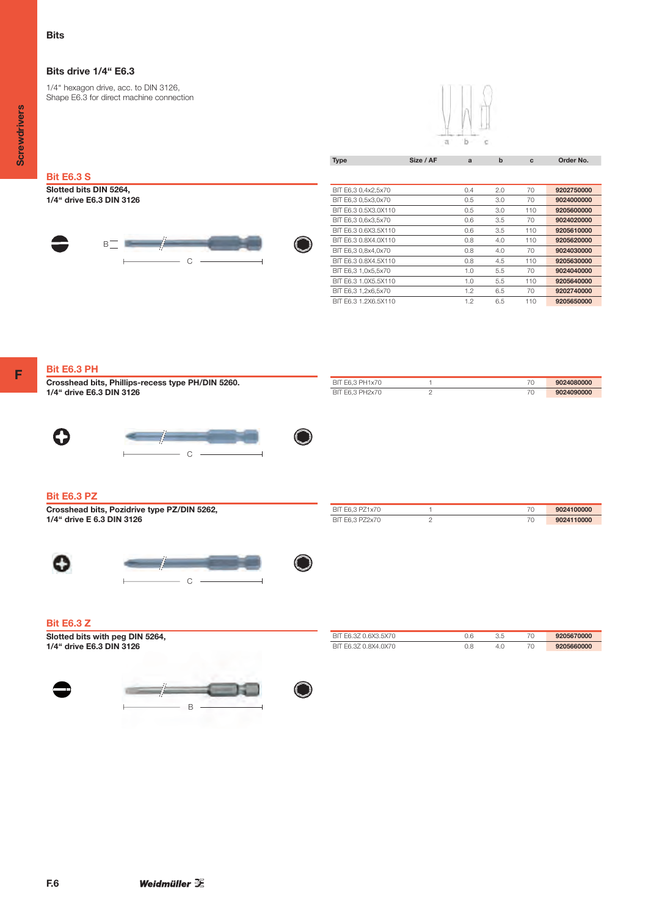### **Bits drive 1/4" E6.3**

1/4'' hexagon drive, acc. to DIN 3126, Shape E6.3 for direct machine connection

# **Bit E6.3 S**

**Slotted bits DIN 5264, 1/4'' drive E6.3 DIN 3126**





| <b>Type</b> | Size / AF |  | Order No. |
|-------------|-----------|--|-----------|
|             |           |  |           |

| BIT E6.3 0.4x2.5x70  | 0.4 | 2.0 | 70  | 9202750000 |
|----------------------|-----|-----|-----|------------|
| BIT E6.3 0.5x3.0x70  | 0.5 | 3.0 | 70  | 9024000000 |
| BIT F6.3 0.5X3.0X110 | 0.5 | 3.0 | 110 | 9205600000 |
| BIT E6.3 0.6x3.5x70  | 0.6 | 3.5 | 70  | 9024020000 |
| BIT F6.3 0.6X3.5X110 | 0.6 | 3.5 | 110 | 9205610000 |
| BIT F6.3 0.8X4.0X110 | 0.8 | 4.0 | 110 | 9205620000 |
| BIT E6,3 0,8x4,0x70  | 0.8 | 4.0 | 70  | 9024030000 |
| BIT F6.3 0.8X4.5X110 | 0.8 | 4.5 | 110 | 9205630000 |
| BIT E6.3 1.0x5.5x70  | 1.0 | 5.5 | 70  | 9024040000 |
| BIT F6.3 1.0X5.5X110 | 1.0 | 5.5 | 110 | 9205640000 |
| BIT E6.3 1.2x6.5x70  | 1.2 | 6.5 | 70  | 9202740000 |
| BIT F6.3 1.2X6.5X110 | 1.2 | 6.5 | 110 | 9205650000 |

### **Bit E6.3 PH**

**Crosshead bits, Phillips-recess type PH/DIN 5260. 1/4'' drive E6.3 DIN 3126**

| BIT E6.3 PH1x70    |    | 902408     |
|--------------------|----|------------|
| <b>LE 3 DHOYZO</b> | 70 | <b>COO</b> |







 $\bigcirc$ 

### **Bit E6.3 PZ**

**Crosshead bits, Pozidrive type PZ/DIN 5262, 1/4'' drive E 6.3 DIN 3126**

| BIT E6.3 PZ1x70 |  | 9024100000 |
|-----------------|--|------------|
| BIT F6.3 P72x70 |  | 9024110000 |
|                 |  |            |







|  | ________ |  |
|--|----------|--|
|  |          |  |

**Slotted bits with peg DIN 5264, 1/4'' drive E6.3 DIN 3126**

| BIT E6.3Z 0.6X3.5X70 | G |    | 9205670000 |
|----------------------|---|----|------------|
| BIT F6 37 0 8X4 0X70 |   | 70 | 9205660000 |





| $\bigcirc$ |  |  |  |
|------------|--|--|--|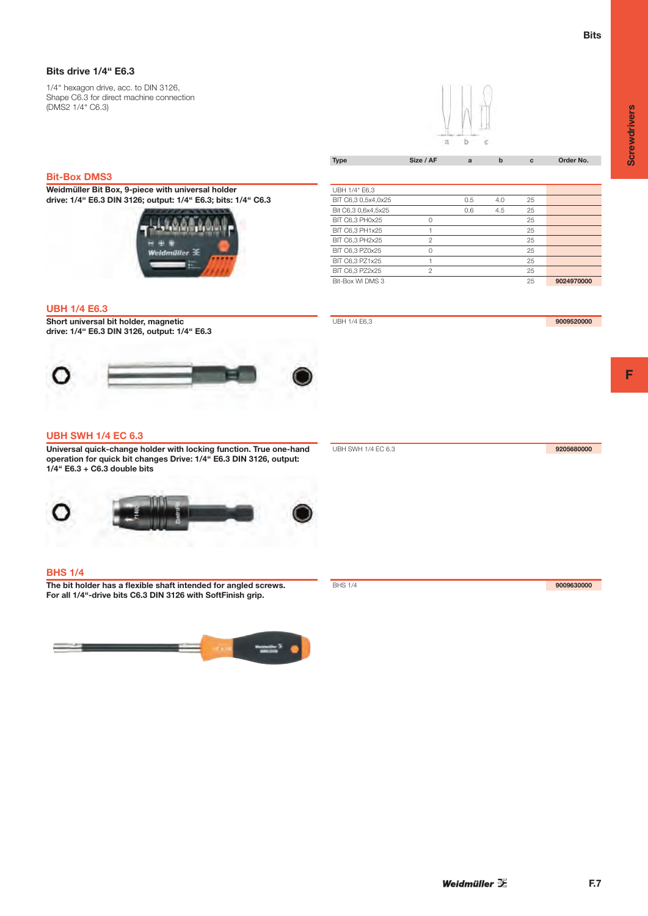### **Bits drive 1/4" E6.3**

1/4'' hexagon drive, acc. to DIN 3126, Shape C6.3 for direct machine connection (DMS2 1/4" C6.3)



**Type Size / AF a b c Order No.**

# **Bit-Box DMS3**

**Weidmüller Bit Box, 9-piece with universal holder drive: 1/4'' E6.3 DIN 3126; output: 1/4'' E6.3; bits: 1/4'' C6.3**



### **UBH 1/4 E6.3**

**Short universal bit holder, magnetic drive: 1/4'' E6.3 DIN 3126, output: 1/4'' E6.3**





### **UBH SWH 1/4 EC 6.3**

**Universal quick-change holder with locking function. True one-hand operation for quick bit changes Drive: 1/4'' E6.3 DIN 3126, output: 1/4'' E6.3 + C6.3 double bits**



### **BHS 1/4**

**The bit holder has a flexible shaft intended for angled screws. For all 1/4"-drive bits C6.3 DIN 3126 with SoftFinish grip.**



| UBH 1/4" E6,3       |   |     |     |    |            |
|---------------------|---|-----|-----|----|------------|
| BIT C6,3 0,5x4,0x25 |   | 0.5 | 4.0 | 25 |            |
| Bit C6,3 0,6x4,5x25 |   | 0.6 | 4.5 | 25 |            |
| BIT C6,3 PH0x25     | Ω |     |     | 25 |            |
| BIT C6,3 PH1x25     |   |     |     | 25 |            |
| BIT C6,3 PH2x25     | 2 |     |     | 25 |            |
| BIT C6,3 PZ0x25     |   |     |     | 25 |            |
| BIT C6,3 PZ1x25     |   |     |     | 25 |            |
| BIT C6,3 PZ2x25     | 2 |     |     | 25 |            |
| Bit-Box WI DMS 3    |   |     |     | 25 | 9024970000 |

UBH 1/4 E6,3 **9009520000**

**UBH SWH 1/4 EC 6.3 9205680000** 

BHS 1/4 **9009630000**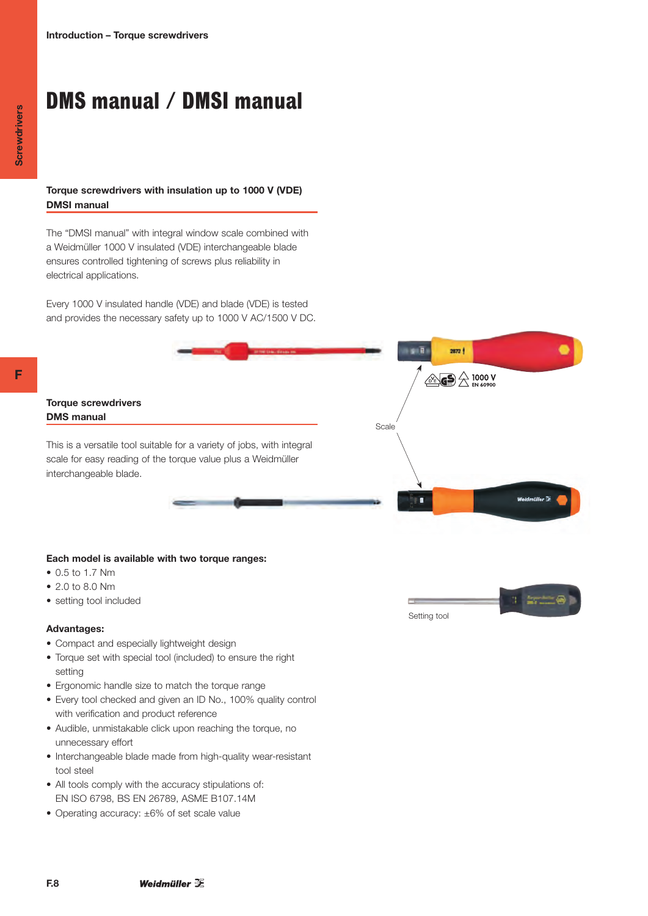### **Torque screwdrivers with insulation up to 1000 V (VDE) DMSI manual**

The "DMSI manual" with integral window scale combined with a Weidmüller 1000 V insulated (VDE) interchangeable blade ensures controlled tightening of screws plus reliability in electrical applications.

Every 1000 V insulated handle (VDE) and blade (VDE) is tested and provides the necessary safety up to 1000 V AC/1500 V DC.

### **Torque screwdrivers DMS manual**

This is a versatile tool suitable for a variety of jobs, with integral scale for easy reading of the torque value plus a Weidmüller interchangeable blade.

### **Each model is available with two torque ranges:**

- 0.5 to 1.7 Nm
- 2.0 to 8.0 Nm
- setting tool included

### **Advantages:**

- Compact and especially lightweight design
- Torque set with special tool (included) to ensure the right setting
- Ergonomic handle size to match the torque range
- Every tool checked and given an ID No., 100% quality control with verification and product reference
- Audible, unmistakable click upon reaching the torque, no unnecessary effort
- Interchangeable blade made from high-quality wear-resistant tool steel
- All tools comply with the accuracy stipulations of: EN ISO 6798, BS EN 26789, ASME B107.14M
- Operating accuracy: ±6% of set scale value



Scale

gir Bi

E

2872 |

 $\circledcirc$ G $\bigcirc$ A 1000 V

**Screwdrivers**

**Screwdrivers**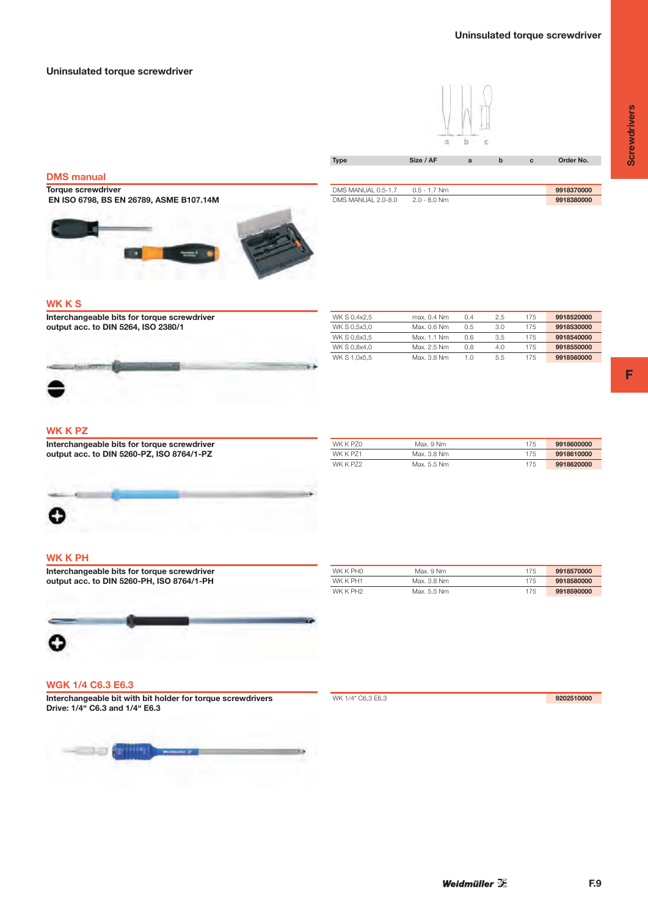### **Uninsulated torque screwdriver**



### **DMS manual**

**Torque screwdriver EN ISO 6798, BS EN 26789, ASME B107.14M**



DMS MANUAL 0.5-1.7 0.5 - 1.7 Nm **9918370000**

**DMS MANUAL 2.0-8.0** 

### **WK K S**

**Interchangeable bits for torque screwdriver output acc. to DIN 5264, ISO 2380/1**



### **WK K PZ**

**Interchangeable bits for torque screwdriver output acc. to DIN 5260-PZ, ISO 8764/1-PZ**

| WK S 0.5x3.0 | Max. 0.6 Nm | 0.5            | 3.0 | 175 | 9918530000 |
|--------------|-------------|----------------|-----|-----|------------|
| WK S 0.6x3.5 | Max. 1.1 Nm | 0.6            | 3.5 | 175 | 9918540000 |
| WK S 0.8x4.0 | Max. 2.5 Nm | 0.8            | 4.0 | 175 | 9918550000 |
| WK S 1.0x5.5 | Max. 3.8 Nm | 1 <sub>0</sub> | 5.5 | 175 | 9918560000 |
|              |             |                |     |     |            |

WK S 0,4x2,5 max. 0.4 Nm 0.4 2.5 175 **9918520000**

| erchangeable bits for torque screwdri |  |  |
|---------------------------------------|--|--|

| <b>WK K P70</b> | Max. 9 Nm   | 175 | 9918600000 |
|-----------------|-------------|-----|------------|
| <b>WK K P71</b> | Max. 3.8 Nm | 175 | 9918610000 |
| <b>WK K P72</b> | Max. 5.5 Nm | 175 | 9918620000 |



### **WK K PH**

**Interchangeable bits for torque screwdriver output acc. to DIN 5260-PH, ISO 8764/1-PH**



### **WGK 1/4 C6.3 E6.3**

**Interchangeable bit with bit holder for torque screwdrivers Drive: 1/4" C6.3 and 1/4" E6.3**



| WK K PHO             | Max. 9 Nm   | 175 | 9918570000 |
|----------------------|-------------|-----|------------|
| WK K PH1             | Max. 3.8 Nm | 175 | 9918580000 |
| WK K PH <sub>2</sub> | Max. 5.5 Nm | 175 | 9918590000 |

WK 1/4" C6,3 E6,3 **9202510000**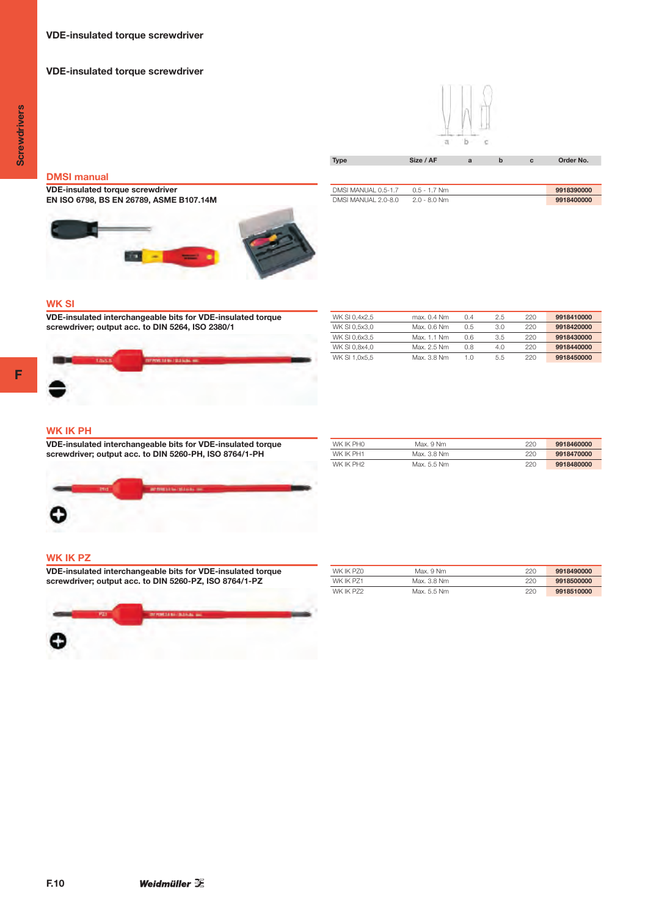### **VDE-insulated torque screwdriver**

| . | Size / AF | D | c | Order No. |
|---|-----------|---|---|-----------|
|   |           |   |   |           |

| DMSI MANUAL 0.5-1.7 | $0.5 - 1.7$ Nm | 9918390000 |
|---------------------|----------------|------------|
| DMSI MANUAL 2.0-8.0 | $20 - 80$ Nm   | 9918400000 |

### **DMSI manual**

### **VDE-insulated torque screwdriver**



## **WK SI**

**VDE-insulated interchangeable bits for VDE-insulated torque screwdriver; output acc. to DIN 5264, ISO 2380/1**



| WK SI 0.4x2.5 | max. 0.4 Nm | 0.4 | 2.5 | 220 | 9918410000 |
|---------------|-------------|-----|-----|-----|------------|
| WK SI 0.5x3.0 | Max. 0.6 Nm | 0.5 | 3.0 | 220 | 9918420000 |
| WK SI 0.6x3.5 | Max. 1.1 Nm | 0 R | 3.5 | 220 | 9918430000 |
| WK SI 0.8x4.0 | Max. 2.5 Nm | O 8 | 4.0 | 220 | 9918440000 |
| WK SI 1.0x5.5 | Max. 3.8 Nm | 1 በ | 5.5 | 220 | 9918450000 |

### **WK IK PH**

**VDE-insulated interchangeable bits for VDE-insulated torque screwdriver; output acc. to DIN 5260-PH, ISO 8764/1-PH**

| WK IK PHO | Max. 9 Nm   | 220 | 9918460000 |
|-----------|-------------|-----|------------|
| WK IK PH1 | Max. 3.8 Nm | 220 | 9918470000 |
| WK IK PH2 | Max. 5.5 Nm | 220 | 9918480000 |



### **WK IK PZ**

**VDE-insulated interchangeable bits for VDE-insulated torque screwdriver; output acc. to DIN 5260-PZ, ISO 8764/1-PZ**



| WK IK P70 | Max. 9 Nm   | つつへ | 9918490000 |
|-----------|-------------|-----|------------|
| MK IK P71 | Max. 3.8 Nm | ククハ | 9918500000 |
| MK IK P72 | Max. 5.5 Nm | つつへ | 9918510000 |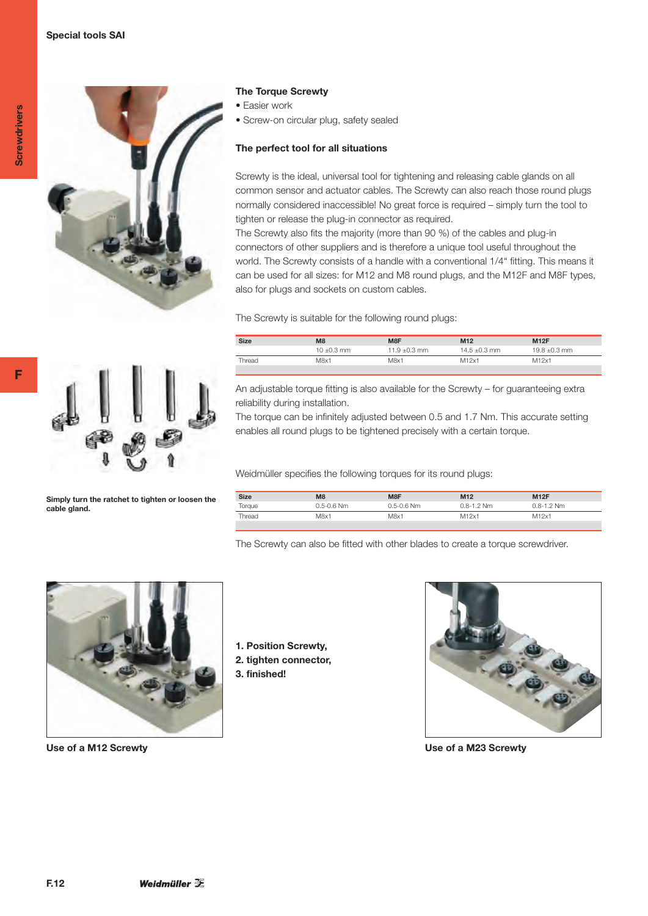

### **The Torque Screwty**

- Easier work
- Screw-on circular plug, safety sealed

### **The perfect tool for all situations**

Screwty is the ideal, universal tool for tightening and releasing cable glands on all common sensor and actuator cables. The Screwty can also reach those round plugs normally considered inaccessible! No great force is required – simply turn the tool to tighten or release the plug-in connector as required.

The Screwty also fits the majority (more than 90 %) of the cables and plug-in connectors of other suppliers and is therefore a unique tool useful throughout the world. The Screwty consists of a handle with a conventional 1/4" fitting. This means it can be used for all sizes: for M12 and M8 round plugs, and the M12F and M8F types, also for plugs and sockets on custom cables.

The Screwty is suitable for the following round plugs:

| <b>Size</b> | M <sub>8</sub>  | M8F               | M <sub>12</sub>   | <b>M12F</b>       |
|-------------|-----------------|-------------------|-------------------|-------------------|
|             | $10 \pm 0.3$ mm | $11.9 \pm 0.3$ mm | $14.5 \pm 0.3$ mm | $19.8 \pm 0.3$ mm |
| Thread      | M8x1            | M8x1              | M12x1             | M12x1             |
|             |                 |                   |                   |                   |

An adjustable torque fitting is also available for the Screwty – for guaranteeing extra reliability during installation.

The torque can be infinitely adjusted between 0.5 and 1.7 Nm. This accurate setting enables all round plugs to be tightened precisely with a certain torque.

Weidmüller specifies the following torques for its round plugs:

|        |                |                | M <sub>12</sub> | <b>M12F</b>    |
|--------|----------------|----------------|-----------------|----------------|
| Torque | $0.5 - 0.6$ Nm | $0.5 - 0.6$ Nm | $0.8 - 1.2$ Nm  | $0.8 - 1.2$ Nm |
| Thread | M8x1           | M8x1           | M12x1           | M12x1          |

The Screwty can also be fitted with other blades to create a torque screwdriver.



**Simply turn the ratchet to tighten or loosen the** 

**cable gland.**

**Use of a M12 Screwty Use of a M23 Screwty**

**1. Position Screwty,**

- **2. tighten connector,**
- **3. finished!**

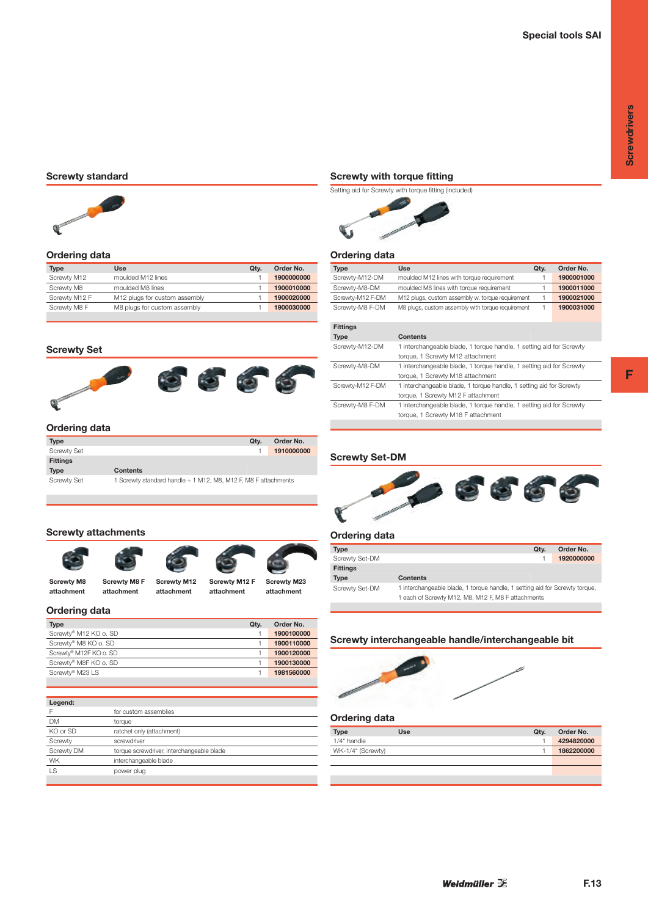### **Screwty standard**



### **Ordering data**

| <b>Type</b>   | Use                           | Qty. | Order No.  |
|---------------|-------------------------------|------|------------|
| Screwty M12   | moulded M12 lines             |      | 1900000000 |
| Screwty M8    | moulded M8 lines              |      | 1900010000 |
| Screwty M12 F | M12 plugs for custom assembly |      | 1900020000 |
| Screwty M8 F  | M8 plugs for custom assembly  |      | 1900030000 |
|               |                               |      |            |

### **Screwty Set**



### **Ordering data**

| <b>Type</b>        |                                                                | Qtv. | Order No.  |
|--------------------|----------------------------------------------------------------|------|------------|
| <b>Screwty Set</b> |                                                                |      | 1910000000 |
| <b>Fittings</b>    |                                                                |      |            |
| <b>Type</b>        | <b>Contents</b>                                                |      |            |
| <b>Screwty Set</b> | 1 Screwty standard handle + 1 M12, M8, M12 F, M8 F attachments |      |            |

### **Screwty attachments**



**Screwty M8 attachment**

f

**Screwty M8 F attachment Screwty M12 attachment**



**Screwty M12 F attachment**

### **Ordering data Type Qty. Order No.** Screwty® M12 KO o. SD 1 **1900100000** Screwty® M8 KO o. SD 1 **1900110000** Screwty® M12F KO o. SD 1 **1900120000**

**attachment**

| Screwty® M8F KO o. SD |  |   |  |  | 1900130000 |
|-----------------------|--|---|--|--|------------|
| Screwty® M23 LS       |  |   |  |  | 1981560000 |
|                       |  |   |  |  |            |
|                       |  |   |  |  |            |
| Legend:               |  |   |  |  |            |
| -                     |  | . |  |  |            |

|            | for custom assemblies                     |
|------------|-------------------------------------------|
| <b>DM</b>  | torque                                    |
| KO or SD   | ratchet only (attachment)                 |
| Screwty    | screwdriver                               |
| Screwty DM | torque screwdriver, interchangeable blade |
| <b>WK</b>  | interchangeable blade                     |
| LS         | power plug                                |
|            |                                           |

### **Screwty with torque fitting**

Setting aid for Screwty with torque fitting (included)



### **Ordering data**

| <b>Type</b>      | Use                                                                 | Qty. | Order No.  |  |
|------------------|---------------------------------------------------------------------|------|------------|--|
| Screwty-M12-DM   | moulded M12 lines with torque requirement                           | 1.   | 1900001000 |  |
| Screwty-M8-DM    | moulded M8 lines with torque requirement                            | 1    | 1900011000 |  |
| Screwty-M12 F-DM | M12 plugs, custom assembly w. torque requirement                    | 1    | 1900021000 |  |
| Screwty-M8 F-DM  | M8 plugs, custom assembly with torque requirement                   | 1    | 1900031000 |  |
|                  |                                                                     |      |            |  |
| <b>Fittings</b>  |                                                                     |      |            |  |
| <b>Type</b>      | <b>Contents</b>                                                     |      |            |  |
| Screwty-M12-DM   | 1 interchangeable blade, 1 torque handle, 1 setting aid for Screwty |      |            |  |
|                  | torque, 1 Screwty M12 attachment                                    |      |            |  |
| Screwty-M8-DM    | 1 interchangeable blade, 1 torque handle, 1 setting aid for Screwty |      |            |  |
|                  | torque, 1 Screwty M18 attachment                                    |      |            |  |
| Screwty-M12 F-DM | 1 interchangeable blade, 1 torque handle, 1 setting aid for Screwty |      |            |  |
|                  | torque, 1 Screwty M12 F attachment                                  |      |            |  |
| Screwty-M8 F-DM  | 1 interchangeable blade, 1 torque handle, 1 setting aid for Screwty |      |            |  |
|                  | torque, 1 Screwty M18 F attachment                                  |      |            |  |
|                  |                                                                     |      |            |  |

### **Screwty Set-DM**



### **Ordering data**

| <b>Type</b>     |                                                                                                                                   | Qtv. | Order No.  |
|-----------------|-----------------------------------------------------------------------------------------------------------------------------------|------|------------|
| Screwty Set-DM  |                                                                                                                                   |      | 1920000000 |
| <b>Fittings</b> |                                                                                                                                   |      |            |
| <b>Type</b>     | Contents                                                                                                                          |      |            |
| Screwty Set-DM  | 1 interchangeable blade, 1 torque handle, 1 setting aid for Screwty torque,<br>1 each of Screwty M12, M8, M12 F, M8 F attachments |      |            |
|                 |                                                                                                                                   |      |            |

### **Screwty interchangeable handle/interchangeable bit**



### **Ordering data**

| <b>Type</b>       | Use | Qty. | Order No.  |
|-------------------|-----|------|------------|
| 1/4" handle       |     |      | 4294820000 |
| WK-1/4" (Screwty) |     |      | 1862200000 |
|                   |     |      |            |
|                   |     |      |            |
|                   |     |      |            |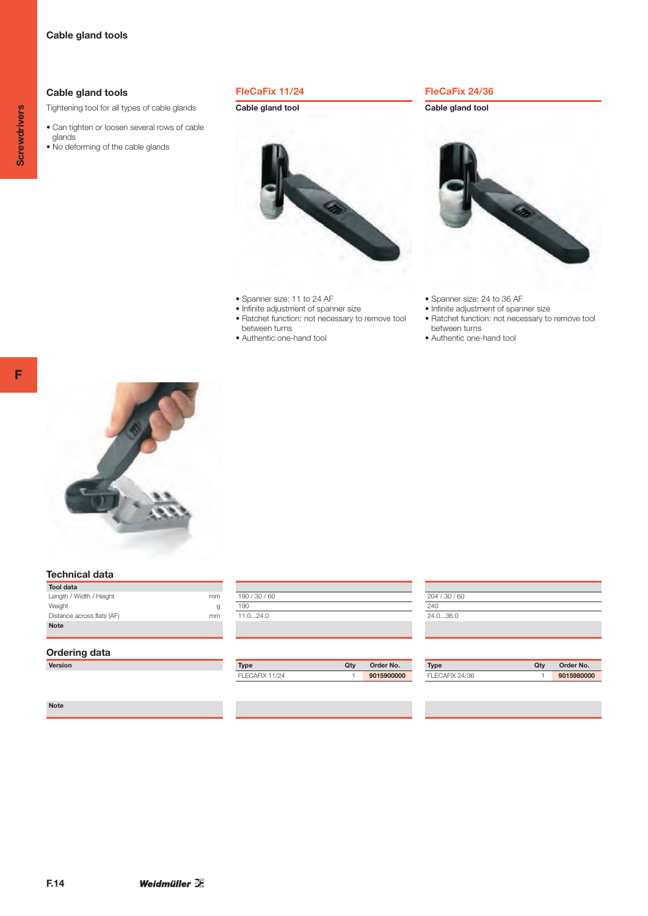# **Cable gland tools**

Tightening tool for all types of cable glands

- Can tighten or loosen several rows of cable glands
- No deforming of the cable glands

### **FleCaFix 11/24**

**Cable gland tool**



- Spanner size: 11 to 24 AF
- Infinite adjustment of spanner size
- Ratchet function: not necessary to remove tool between turns
- Authentic one-hand tool



• Spanner size: 24 to 36 AF

**FleCaFix 24/36**

- Infinite adjustment of spanner size
- Ratchet function: not necessary to remove tool between turns
- Authentic one-hand tool



| mm |
|----|
| ğ  |
| mm |
|    |
|    |

### **Ordering data**

**Version**

| 190 / 30 / 60 |
|---------------|
| 190           |
| 11.024.0      |
|               |
|               |

| Tvpe           | Otv | Order No.  |
|----------------|-----|------------|
| FLECAFIX 11/24 |     | 9015900000 |

| 204 / 30 / 60 |
|---------------|
| 240           |
| 24.036.0      |
|               |

| Type           | Qtv | Order No.  |
|----------------|-----|------------|
| FLECAFIX 24/36 |     | 9015980000 |

**Note**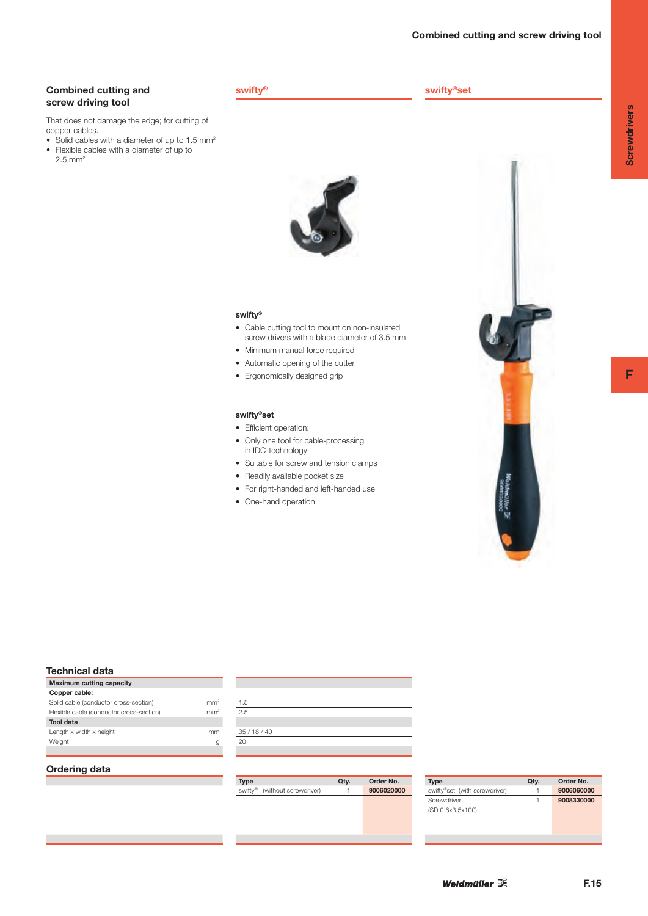### **Subsetted Cutting and Swifty® Subsetted Current Combined cutting and swifty®** set **screw driving tool**

That does not damage the edge; for cutting of copper cables.

- Solid cables with a diameter of up to 1.5 mm<sup>2</sup> • Flexible cables with a diameter of up to
- $2.5$  mm<sup>2</sup>

**swifty®**

**swifty®set** • Efficient operation:

• Cable cutting tool to mount on non-insulated screw drivers with a blade diameter of 3.5 mm

• Minimum manual force required • Automatic opening of the cutter • Ergonomically designed grip

• Only one tool for cable-processing

• Suitable for screw and tension clamps • Readily available pocket size • For right-handed and left-handed use

in IDC-technology

• One-hand operation



### **Technical data**

| <b>Maximum cutting capacity</b>          |                 |
|------------------------------------------|-----------------|
| Copper cable:                            |                 |
| Solid cable (conductor cross-section)    | mm <sup>2</sup> |
| Flexible cable (conductor cross-section) | mm <sup>2</sup> |
| <b>Tool data</b>                         |                 |
| Length x width x height                  | mm              |
| Weight                                   | q               |
|                                          |                 |

### **Ordering data**

| 1.5      |  |
|----------|--|
| 2.5      |  |
|          |  |
| 35/18/40 |  |
| 20       |  |
|          |  |
|          |  |

| Type |                                           | Otv. | Order No.  |
|------|-------------------------------------------|------|------------|
|      | swifty <sup>®</sup> (without screwdriver) |      | 9006020000 |
|      |                                           |      |            |

| <b>Type</b>                   | Qty. | Order No.  |
|-------------------------------|------|------------|
| swifty®set (with screwdriver) |      | 9006060000 |
| Screwdriver                   |      | 9008330000 |
| (SD 0.6x3.5x100)              |      |            |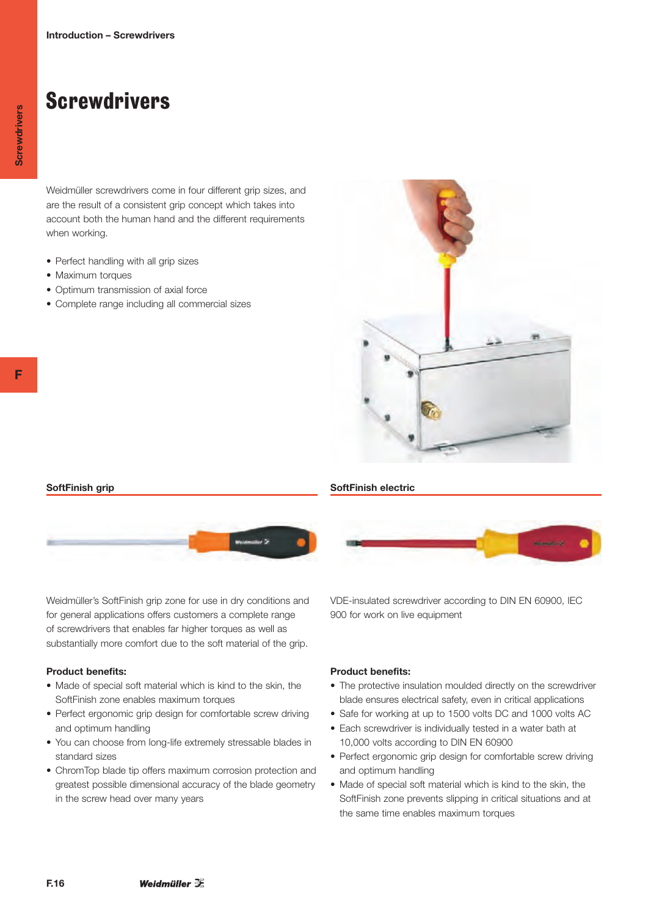Weidmüller screwdrivers come in four different grip sizes, and are the result of a consistent grip concept which takes into account both the human hand and the different requirements when working.

- Perfect handling with all grip sizes
- Maximum torques
- Optimum transmission of axial force
- Complete range including all commercial sizes



### **SoftFinish grip**



Weidmüller's SoftFinish grip zone for use in dry conditions and for general applications offers customers a complete range of screwdrivers that enables far higher torques as well as substantially more comfort due to the soft material of the grip.

### **Product benefits:**

- Made of special soft material which is kind to the skin, the SoftFinish zone enables maximum torques
- Perfect ergonomic grip design for comfortable screw driving and optimum handling
- You can choose from long-life extremely stressable blades in standard sizes
- ChromTop blade tip offers maximum corrosion protection and greatest possible dimensional accuracy of the blade geometry in the screw head over many years

### **SoftFinish electric**



VDE-insulated screwdriver according to DIN EN 60900, IEC 900 for work on live equipment

### **Product benefits:**

- The protective insulation moulded directly on the screwdriver blade ensures electrical safety, even in critical applications
- Safe for working at up to 1500 volts DC and 1000 volts AC
- Each screwdriver is individually tested in a water bath at 10,000 volts according to DIN EN 60900
- Perfect ergonomic grip design for comfortable screw driving and optimum handling
- Made of special soft material which is kind to the skin, the SoftFinish zone prevents slipping in critical situations and at the same time enables maximum torques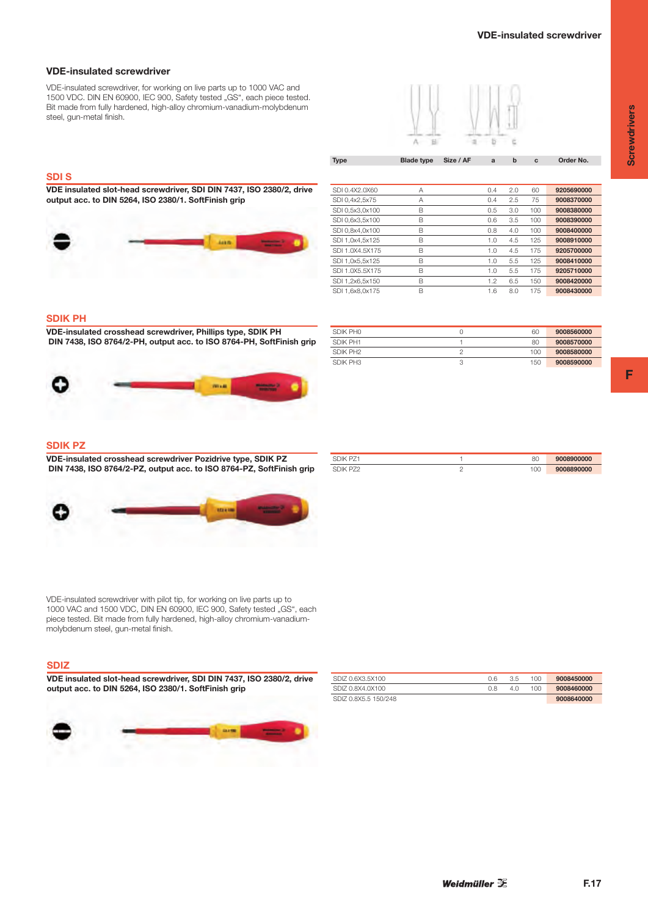### **VDE-insulated screwdriver**

VDE-insulated screwdriver, for working on live parts up to 1000 VAC and 1500 VDC. DIN EN 60900, IEC 900, Safety tested "GS", each piece tested. Bit made from fully hardened, high-alloy chromium-vanadium-molybdenum steel, gun-metal finish.



**SDI S**

**VDE insulated slot-head screwdriver, SDI DIN 7437, ISO 2380/2, drive output acc. to DIN 5264, ISO 2380/1. SoftFinish grip** 



| SDI 0.4X2.0X60  | A | 0.4 | 2.0 | 60  | 9205690000 |
|-----------------|---|-----|-----|-----|------------|
| SDI 0.4x2.5x75  | A | 0.4 | 2.5 | 75  | 9008370000 |
| SDI 0.5x3.0x100 | B | 0.5 | 3.0 | 100 | 9008380000 |
| SDI 0,6x3,5x100 | B | 0.6 | 3.5 | 100 | 9008390000 |
| SDI 0.8x4.0x100 | B | 0.8 | 4.0 | 100 | 9008400000 |
| SDI 1.0x4.5x125 | B | 1.0 | 4.5 | 125 | 9008910000 |
| SDI 1.0X4.5X175 | B | 1.0 | 4.5 | 175 | 9205700000 |
| SDI 1.0x5.5x125 | B | 1.0 | 5.5 | 125 | 9008410000 |
| SDI 1.0X5.5X175 | B | 1.0 | 5.5 | 175 | 9205710000 |
| SDI 1.2x6.5x150 | B | 1.2 | 6.5 | 150 | 9008420000 |
| SDI 1.6x8.0x175 | B | 1.6 | 8.0 | 175 | 9008430000 |
|                 |   |     |     |     |            |

### **SDIK PH**

**VDE-insulated crosshead screwdriver, Phillips type, SDIK PH DIN 7438, ISO 8764/2-PH, output acc. to ISO 8764-PH, SoftFinish grip**



### **SDIK PZ**

**VDE-insulated crosshead screwdriver Pozidrive type, SDIK PZ DIN 7438, ISO 8764/2-PZ, output acc. to ISO 8764-PZ, SoftFinish grip**

| -------              | $\sim$ | ---     | ------------ |
|----------------------|--------|---------|--------------|
| SDIK PH1             |        | 80      | 9008570000   |
| SDIK PH <sub>2</sub> |        | $100 -$ | 9008580000   |
| SDIK PH3             |        | 150     | 9008590000   |
|                      |        |         |              |

SDIK PHO **0 60 <b>9008560000** 

| SDIK P71 |   | 80  |  |
|----------|---|-----|--|
| SNIK P72 | - | 100 |  |



VDE-insulated screwdriver with pilot tip, for working on live parts up to 1000 VAC and 1500 VDC, DIN EN 60900, IEC 900, Safety tested "GS", each piece tested. Bit made from fully hardened, high-alloy chromium-vanadiummolybdenum steel, gun-metal finish.

### **SDIZ**

**VDE insulated slot-head screwdriver, SDI DIN 7437, ISO 2380/2, drive output acc. to DIN 5264, ISO 2380/1. SoftFinish grip**

| -- |  |  |
|----|--|--|
|    |  |  |
|    |  |  |

| SDIZ 0.6X3.5X100     | Ωĥ  |     | 100        | 9008450000 |
|----------------------|-----|-----|------------|------------|
| SDIZ 0.8X4.0X100     | 0 8 | 4 N | 100 $\sim$ | 9008460000 |
| SDIZ 0.8X5.5 150/248 |     |     |            | 9008640000 |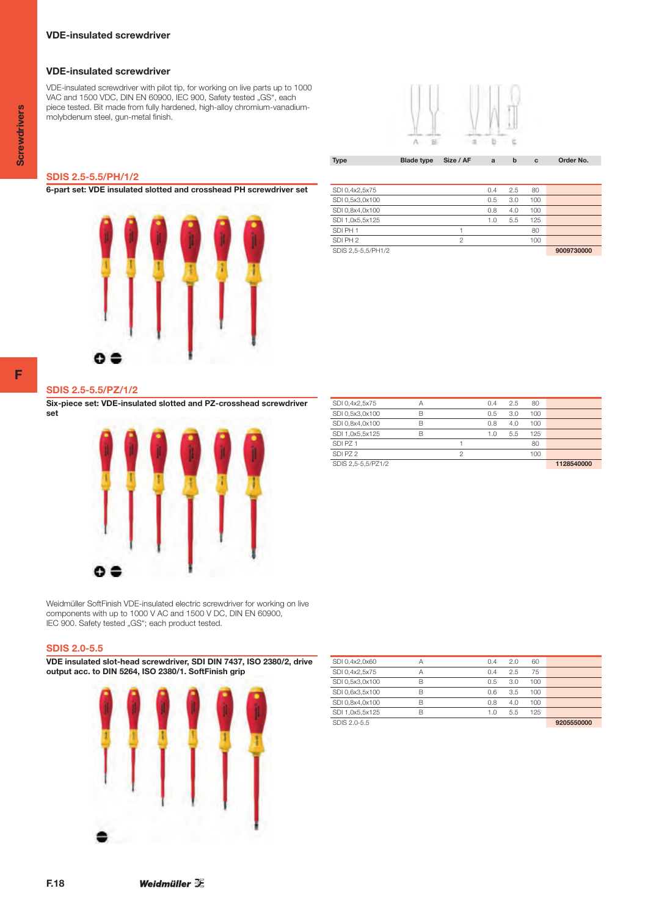### **VDE-insulated screwdriver**

VDE-insulated screwdriver with pilot tip, for working on live parts up to 1000 VAC and 1500 VDC, DIN EN 60900, IEC 900, Safety tested "GS", each piece tested. Bit made from fully hardened, high-alloy chromium-vanadiummolybdenum steel, gun-metal finish.

### **SDIS 2.5-5.5/PH/1/2**

6-part set: VDE insulated slotted and crosshead PH screwdriver set





**Type Blade type Size / AF a b c Order No.**

| SDI 0,4x2,5x75     |   | 0.4 | 25  | 80  |            |
|--------------------|---|-----|-----|-----|------------|
| SDI 0,5x3,0x100    |   | 0.5 | 3.0 | 100 |            |
| SDI 0.8x4.0x100    |   | 0.8 | 4.0 | 100 |            |
| SDI 1,0x5,5x125    |   | 1.0 | 5.5 | 125 |            |
| SDI PH 1           |   |     |     | 80  |            |
| SDI PH 2           | 2 |     |     | 100 |            |
| SDIS 2,5-5,5/PH1/2 |   |     |     |     | 9009730000 |

### **F**

### **SDIS 2.5-5.5/PZ/1/2**

**Six-piece set: VDE-insulated slotted and PZ-crosshead screwdriver set**



Weidmüller SoftFinish VDE-insulated electric screwdriver for working on live components with up to 1000 V AC and 1500 V DC, DIN EN 60900, IEC 900. Safety tested "GS"; each product tested.

### **SDIS 2.0-5.5**

**VDE insulated slot-head screwdriver, SDI DIN 7437, ISO 2380/2, drive output acc. to DIN 5264, ISO 2380/1. SoftFinish grip**



| SDI 0,4x2,0x60  | А | 0.4 | 20  | 60      |            |
|-----------------|---|-----|-----|---------|------------|
| SDI 0,4x2,5x75  | А | 0.4 | 2.5 | 75      |            |
| SDI 0,5x3,0x100 | R | 0.5 | 3.0 | $100 -$ |            |
| SDI 0,6x3,5x100 | R | 0.6 | 3.5 | $100 -$ |            |
| SDI 0.8x4.0x100 | R | 0.8 | 4.0 | $100 -$ |            |
| SDI 1,0x5,5x125 | B | 1.0 | 5.5 | 125     |            |
| SDIS 2.0-5.5    |   |     |     |         | 9205550000 |

SDI 0,4x2,5x75 A 0.4 2.5 80<br>SDI 0.5x3.0x100 B 0.5 3.0 100 SDI 0.5x3,0x100 B 0.5 3.0 100 SDI 0,8x4,0x100 B 0.8 4.0 100 SDI 1,0x5,5x125 B 1.0 5.5 125 SDI PZ 1 1 80 SDI PZ 2 2 100 SDIS 2,5-5,5/PZ1/2 **1128540000**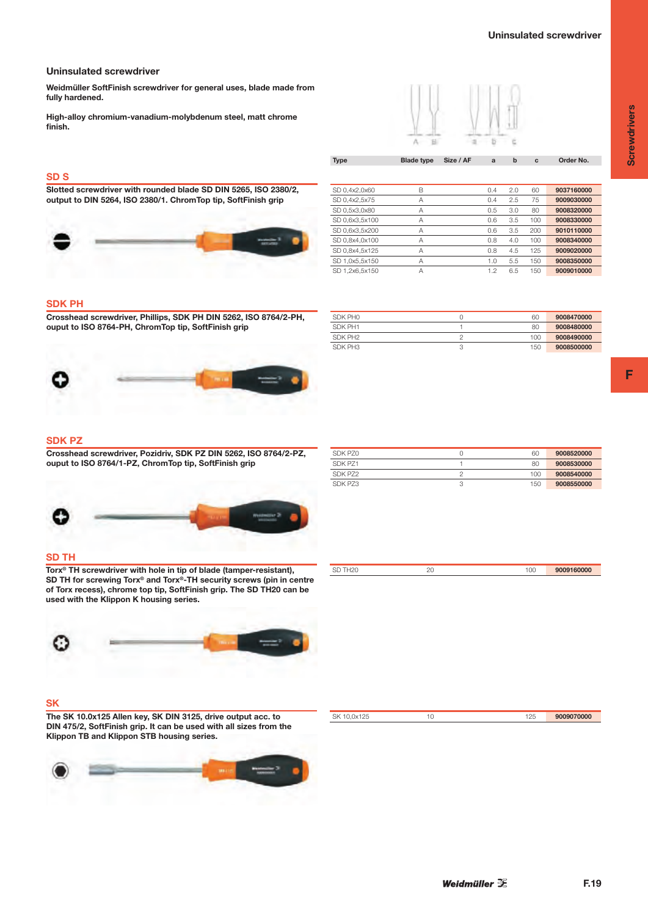### **Uninsulated screwdriver**

**Weidmüller SoftFinish screwdriver for general uses, blade made from fully hardened.**

**High-alloy chromium-vanadium-molybdenum steel, matt chrome finish.**

### **SD S**

**Slotted screwdriver with rounded blade SD DIN 5265, ISO 2380/2, output to DIN 5264, ISO 2380/1. ChromTop tip, SoftFinish grip**



### SD 0,4x2,0x60 B 0.4 2.0 60 **9037160000** SD 0,4x2,5x75 A 0.4 2.5 75 **9009030000** SD 0,5x3,0x80 A 0.5 3.0 80 **9008320000** SD 0,6x3,5x100 A 0.6 3.5 100 **9008330000** SD 0,6x3,5x200 A 0.6 3.5 200 **9010110000** SD 0,8x4,0x100 A 0.8 4.0 100 **9008340000** SD 0,8x4,5x125 A 0.8 4.5 125 **9009020000 Type Blade type Size / AF a b c Order No.**

SD 1,0x5,5x150 A 1.0 5.5 150 **9008350000** SD 1,2x6,5x150 A 1.2 6.5 150 **9009010000**

### **SDK PH**

**Crosshead screwdriver, Phillips, SDK PH DIN 5262, ISO 8764/2-PH, ouput to ISO 8764-PH, ChromTop tip, SoftFinish grip**



### **SDK PZ**

**Crosshead screwdriver, Pozidriv, SDK PZ DIN 5262, ISO 8764/2-PZ, ouput to ISO 8764/1-PZ, ChromTop tip, SoftFinish grip**



### **SD TH**

**Torx® TH screwdriver with hole in tip of blade (tamper-resistant), SD TH for screwing Torx® and Torx®-TH security screws (pin in centre of Torx recess), chrome top tip, SoftFinish grip. The SD TH20 can be used with the Klippon K housing series.**



### **SK**

The SK 10.0x125 Allen key, SK DIN 3125, drive output acc. to **DIN 475/2, SoftFinish grip. It can be used with all sizes from the Klippon TB and Klippon STB housing series.**



| SDK P71 |   | 80      | 9008530000 |
|---------|---|---------|------------|
| SDK P72 |   | $100 -$ | 9008540000 |
| SDK PZ3 | O | 150     | 9008550000 |
|         |   |         |            |

SDK PZ0 0 60 **9008520000**

| SL<br>the contract of the contract of |  | OC | 9009160000 |
|---------------------------------------|--|----|------------|

|  | x125<br>SK<br>וור<br>11 <sup>2</sup><br>,,,,,, | ັ |  | 105<br>ن ے . | 170000<br>9009 |
|--|------------------------------------------------|---|--|--------------|----------------|
|--|------------------------------------------------|---|--|--------------|----------------|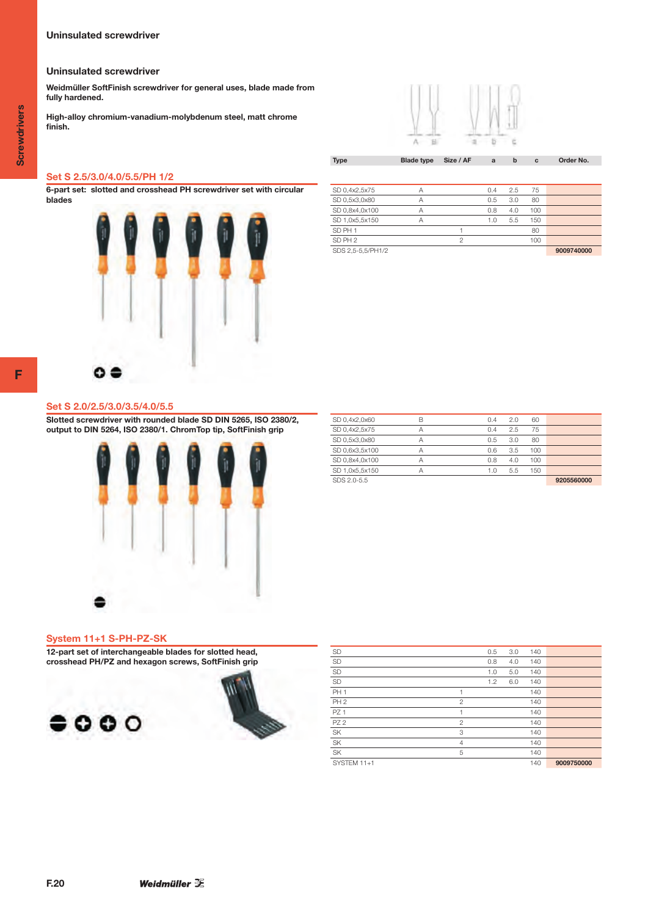### **Uninsulated screwdriver**

### **Uninsulated screwdriver**

**Weidmüller SoftFinish screwdriver for general uses, blade made from fully hardened.**

**High-alloy chromium-vanadium-molybdenum steel, matt chrome finish.**

### **Set S 2.5/3.0/4.0/5.5/PH 1/2**

**6-part set: slotted and crosshead PH screwdriver set with circular blades**





**Type Blade type Size / AF a b c Order No.**

| SD 0,4x2,5x75     | А |   | 0.4 | 2.5 | 75  |            |
|-------------------|---|---|-----|-----|-----|------------|
| SD 0,5x3,0x80     |   |   | 0.5 | 3.0 | 80  |            |
| SD 0,8x4,0x100    | А |   | 0.8 | 4.0 | 100 |            |
| SD 1,0x5,5x150    | А |   | 1.0 | 5.5 | 150 |            |
| SD PH 1           |   |   |     |     | 80  |            |
| SD PH 2           |   | っ |     |     | 100 |            |
| SDS 2,5-5,5/PH1/2 |   |   |     |     |     | 9009740000 |

**F**

**Screwdrivers**

**Screwdrivers** 

### **Set S 2.0/2.5/3.0/3.5/4.0/5.5**

**Slotted screwdriver with rounded blade SD DIN 5265, ISO 2380/2, output to DIN 5264, ISO 2380/1. ChromTop tip, SoftFinish grip**



| SD 0.4x2.0x60  | R | 0.4 | 20  | 60      |            |
|----------------|---|-----|-----|---------|------------|
| SD 0.4x2.5x75  |   | 0.4 | 2.5 | 75      |            |
| SD 0,5x3,0x80  |   | 0.5 | 3.0 | 80      |            |
| SD 0,6x3,5x100 |   | 0.6 | 3.5 | $100 -$ |            |
| SD 0.8x4.0x100 | А | 0.8 | 4.0 | 100     |            |
| SD 1.0x5.5x150 |   | 1.0 | 5.5 | 150     |            |
| SDS 2.0-5.5    |   |     |     |         | 9205560000 |

### **System 11+1 S-PH-PZ-SK**

**12-part set of interchangeable blades for slotted head, crosshead PH/PZ and hexagon screws, SoftFinish grip**





| <b>SD</b>              |                | 0.5 | 3.0 | 140 |            |
|------------------------|----------------|-----|-----|-----|------------|
| SD                     |                | 0.8 | 4.0 | 140 |            |
| $\overline{SD}$        |                | 1.0 | 5.0 | 140 |            |
| $\overline{SD}$        |                | 1.2 | 6.0 | 140 |            |
| PH <sub>1</sub>        | 1              |     |     | 140 |            |
| PH <sub>2</sub>        | $\overline{c}$ |     |     | 140 |            |
| PZ <sub>1</sub>        | 1              |     |     | 140 |            |
| PZ <sub>2</sub>        | $\overline{2}$ |     |     | 140 |            |
| SK                     | 3              |     |     | 140 |            |
| $\overline{\text{SK}}$ | $\overline{4}$ |     |     | 140 |            |
| SK                     | 5              |     |     | 140 |            |
| SYSTEM 11+1            |                |     |     | 140 | 9009750000 |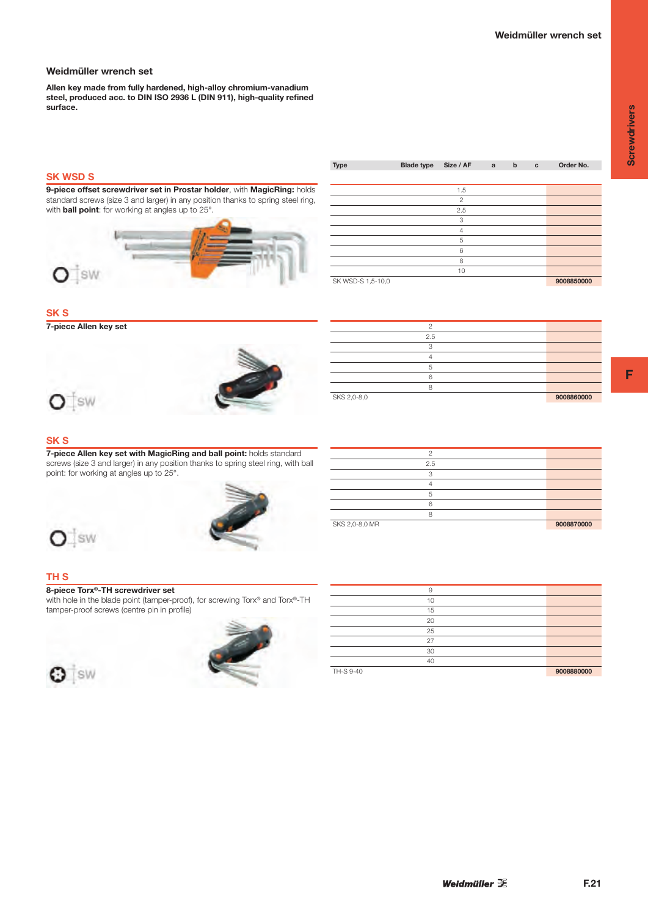### **Weidmüller wrench set**

**Allen key made from fully hardened, high-alloy chromium-vanadium steel, produced acc. to DIN ISO 2936 L (DIN 911), high-quality refined surface.**

| 9-piece offset screwdriver set in Prostar holder, with MagicRing: holds          |
|----------------------------------------------------------------------------------|
| standard screws (size 3 and larger) in any position thanks to spring steel ring. |
| with <b>ball point</b> : for working at angles up to 25°.                        |
|                                                                                  |



### **SK S**

**SK WSD S**

**7-piece Allen key set**





## 4 5 6 8

### **SK S**

**7-piece Allen key set with MagicRing and ball point:** holds standard screws (size 3 and larger) in any position thanks to spring steel ring, with ball point: for working at angles up to 25°.





|                | 2.5 |  |            |
|----------------|-----|--|------------|
|                | c   |  |            |
|                |     |  |            |
|                |     |  |            |
|                |     |  |            |
|                |     |  |            |
| SKS 2,0-8,0 MR |     |  | 9008870000 |

### **TH S**

### **8-piece Torx®-TH screwdriver set**

with hole in the blade point (tamper-proof), for screwing Torx® and Torx®-TH tamper-proof screws (centre pin in profile)





|           | 9  |            |
|-----------|----|------------|
|           | 10 |            |
|           | 15 |            |
|           | 20 |            |
|           | 25 |            |
|           | 27 |            |
|           | 30 |            |
|           | 40 |            |
| TH-S 9-40 |    | 9008880000 |

### **Type Blade type Size / AF a b c Order No.**

|                   | 1.5      |            |
|-------------------|----------|------------|
|                   | 2        |            |
|                   | 2.5      |            |
|                   | ۵        |            |
|                   |          |            |
|                   | 5        |            |
|                   | 6        |            |
|                   | я        |            |
|                   | $1 \cap$ |            |
| SK WSD-S 1,5-10,0 |          | 9008850000 |

| 2.5         |            |
|-------------|------------|
|             |            |
|             |            |
| д           |            |
|             |            |
|             |            |
| SKS 2,0-8,0 | 9008860000 |